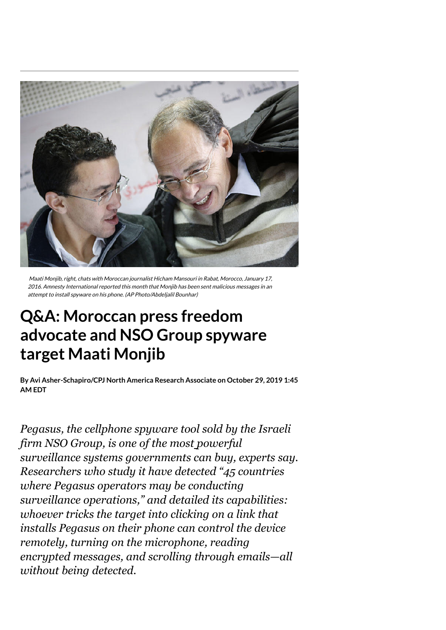

Maati Monjib, right, chats with Moroccan journalist Hicham Mansouri in Rabat, Morocco, January 17, 2016. Amnesty International reported this month that Monjib has been sent malicious messages in an attempt to install spyware on his phone. (AP Photo/Abdeljalil Bounhar)

# **Q&A: Moroccan press freedom advocate and NSO Group spyware target Maati Monjib**

**By on October 29, 2019 1:45 Avi [Asher-Schapiro/CPJ](https://cpj.org/author/avi-asher-schapiro-cpj-north-america-research-associate/) North America Research AssociateAM EDT**

*[Pegasus,](https://cpj.org/2018/10/cpj-safety-advisory-pegasus-spyware-used-to-target.php) the cellphone spyware tool sold by the Israeli firm NSO Group, is one of the most powerful surveillance systems governments can buy, experts say. Researchers who study it have [detected](https://citizenlab.ca/2018/09/hide-and-seek-tracking-nso-groups-pegasus-spyware-to-operations-in-45-countries/) "45 countries where Pegasus operators may be conducting surveillance operations," and detailed its capabilities: whoever tricks the target into clicking on a link that installs Pegasus on their phone can control the device remotely, turning on the microphone, reading encrypted messages, and scrolling through emails—all without being detected.*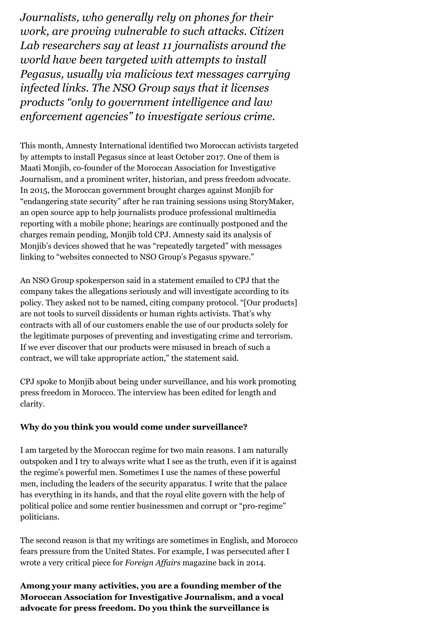*Journalists, who generally rely on phones for their [work, are proving](https://citizenlab.ca/2019/03/nso-spyware-slain-journalists-wife/) [vulnerable](https://www.cjr.org/watchdog/pegasus-israeli-spyware.php) [to such attacks. Citizen](https://citizenlab.ca/2019/03/nso-spyware-slain-journalists-wife/) Lab researchers say at least 11 journalists around the world have been targeted with attempts to install Pegasus, usually via malicious text messages carrying infected links. The NSO Group [says](https://www.nsogroup.com/governance/) that it licenses products "only to government intelligence and law enforcement agencies" to investigate serious crime.*

This month, Amnesty International [identified](https://www.amnesty.org/en/latest/research/2019/10/morocco-human-rights-defenders-targeted-with-nso-groups-spyware/) two Moroccan activists targeted by attempts to install Pegasus since at least October 2017. One of them is Maati Monjib, co-founder of the Moroccan Association for Investigative Journalism, and a prominent writer, historian, and press freedom advocate. In 2015, the Moroccan government brought [charges a](https://www.hrw.org/news/2015/11/08/morocco-drop-charges-against-activists)gainst Monjib for "endangering state security" after he ran training sessions using [StoryMaker,](https://www.freepressunlimited.org/en/projects/storymaker-make-your-story-great) an open source app to help journalists produce professional multimedia reporting with a mobile phone; hearings are continually postponed and the charges remain pending, Monjib told CPJ. Amnesty said its analysis of Monjib's devices showed that he was "repeatedly targeted" with messages linking to "websites connected to NSO Group's Pegasus spyware."

An NSO Group spokesperson said in a statement emailed to CPJ that the company takes the allegations seriously and will investigate according to its [policy](https://urldefense.proofpoint.com/v2/url?u=https-3A__secure-2Dweb.cisco.com_1ooXnlRUQhw1RM7LpCNdaXkD9L66y2ZLKHxqjymukuyZ6CMW8pt-2DgvyWBWT-5FXtkjUqqOw6xFnENCDO0RMcuKq1kzJv-2DJoevdML45ZE1OkWFOgsHWLRTXizn-2D0QEBmI2oFritjb9-2D0-5FpHqeSmNKgX5gvVuJM1CFNwWL57FxBIHFxGXjg7c6CkO9U5yaGExn-5FlnGCZlB0qgOYwNST1bxJjXroxx9vPypsqzWTnuAITlZyxc0zxsSF8t0hTjaeswewlxnhAsLGLrRY8k6Pzfv-2D6OMOgW-2D0WOnh7nyrTTolmRaOT88sNaRGF9TujyL9recZFo_https-253A-252F-252Fwww.nsogroup.com-252Fwp-2Dcontent-252Fuploads-252F2019-252F09-252FNSO-2DHuman-2DRights-2DPolicy-5FSeptember19.pdf&d=DwMGaQ&c=4ZIZThykDLcoWk-GVjSLmy8-1Cr1I4FWIvbLFebwKgY&r=pl6eB9cSMYgUU6s7l363i1R5e16DI6X4vcjuIVUekXR2RYGmEkOErpgSFyBtgmTL&m=-K3hqzS1XSoM64sCo5y7k66LzOdV6oMxZKhjtP9oFEo&s=l_ahARZXC75CXZ_HgE97RBbOyYqcviGs54msD3_A2kQ&e=). They asked not to be named, citing company protocol. "[Our products] are not tools to surveil dissidents or human rights activists. That's why contracts with all of our customers enable the use of our products solely for the legitimate purposes of preventing and investigating crime and terrorism. If we ever discover that our products were misused in breach of such a contract, we will take appropriate action," the statement said.

CPJ spoke to Monjib about being under surveillance, and his work promoting press freedom in Morocco. The interview has been edited for length and clarity.

### **Why do you think you would come under surveillance?**

I am targeted by the Moroccan regime for two main reasons. I am naturally outspoken and I try to always write what I see as the truth, even if it is against the regime's powerful men. Sometimes I use the names of these powerful men, including the leaders of the security apparatus. I write that the palace has everything in its hands, and that the royal elite govern with the help of political police and some rentier businessmen and corrupt or "pro-regime" politicians.

The second reason is that my writings are sometimes in English, and Morocco fears pressure from the United States. For example, I was persecuted after I wrote a very critical piece for *[Foreign Affairs](https://www.foreignaffairs.com/authors/maati-monjib)* magazine back in 2014.

**Among your many activities, you are a founding member of the Moroccan Association for Investigative Journalism, and a vocal advocate for press freedom. Do you think the surveillance is**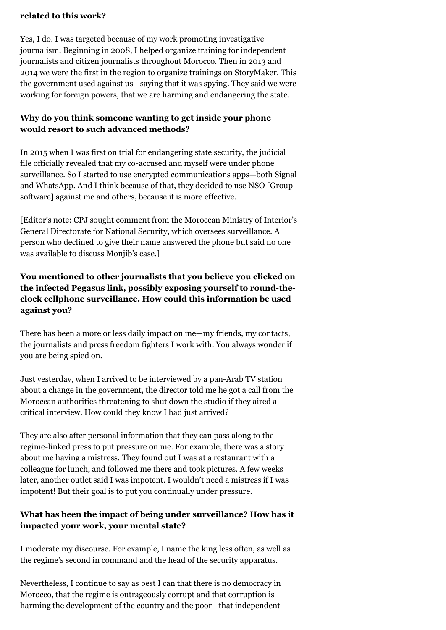### **related to this work?**

Yes, I do. I was targeted because of my work promoting investigative journalism. Beginning in 2008, I helped organize training for independent journalists and citizen journalists throughout Morocco. Then in 2013 and 2014 we were the first in the region to organize trainings on StoryMaker. This the government used against us—saying that it was spying. They said we were working for foreign powers, that we are harming and endangering the state.

## **Why do you think someone wanting to get inside your phone would resort to such advanced methods?**

In 2015 when I was first on trial for endangering state security, the judicial file officially revealed that my co-accused and myself were under phone surveillance. So I started to use encrypted communications apps—both Signal and WhatsApp. And I think because of that, they decided to use NSO [Group software] against me and others, because it is more effective.

[Editor's note: CPJ sought comment from the Moroccan Ministry of Interior's General Directorate for National Security, which oversees surveillance. A person who declined to give their name answered the phone but said no one was available to discuss Monjib's case.]

# **You mentioned to [other](https://www.forbes.com/sites/thomasbrewster/2019/10/09/moroccan-activist-says-nsos-elite-spy-tools-hacked-his-iphone/#60f735f62489) journalists that you believe you clicked on the infected Pegasus link, possibly exposing yourself to round-theclock cellphone surveillance. How could this information be used against you?**

There has been a more or less daily impact on me—my friends, my contacts, the journalists and press freedom fighters I work with. You always wonder if you are being spied on.

Just yesterday, when I arrived to be interviewed by a pan-Arab TV station about a change in the government, the director told me he got a call from the Moroccan authorities threatening to shut down the studio if they aired a critical interview. How could they know I had just arrived?

They are also after personal information that they can pass along to the regime-linked press to put pressure on me. For example, there was a story about me having a mistress. They found out I was at a restaurant with a colleague for lunch, and followed me there and took pictures. A few weeks later, another outlet said I was impotent. I wouldn't need a mistress if I was impotent! But their goal is to put you continually under pressure.

## **What has been the impact of being under surveillance? How has it impacted your work, your mental state?**

I moderate my discourse. For example, I name the king less often, as well as the regime's second in command and the head of the security apparatus.

Nevertheless, I continue to say as best I can that there is no democracy in Morocco, that the regime is outrageously corrupt and that corruption is harming the development of the country and the poor—that independent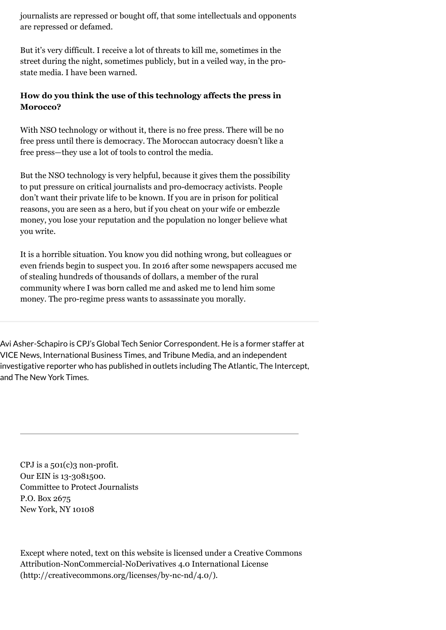journalists are repressed or bought off, that some intellectuals and opponents are repressed or defamed.

But it's very difficult. I receive a lot of threats to kill me, sometimes in the street during the night, sometimes publicly, but in a veiled way, in the prostate media. I have been warned.

# **How do you think the use of this technology affects the press in Morocco?**

With NSO technology or without it, there is no free press. There will be no free press until there is democracy. The Moroccan autocracy doesn't like a free press—they use a lot of tools to control the media.

But the NSO technology is very helpful, because it gives them the possibility to put pressure on critical journalists and pro-democracy activists. People don't want their private life to be known. If you are in prison for political reasons, you are seen as a hero, but if you cheat on your wife or embezzle money, you lose your reputation and the population no longer believe what you write.

It is a horrible situation. You know you did nothing wrong, but colleagues or even friends begin to suspect you. In 2016 after some newspapers [accused m](https://m.le360.ma/politique/justice-les-details-des-transactions-frauduleuses-reprochees-a-maati-monjib-58129)e of stealing hundreds of thousands of dollars, a member of the rural community where I was born called me and asked me to lend him some money. The pro-regime press wants to assassinate you morally.

Avi Asher-Schapiro is CPJ's Global Tech Senior Correspondent. He is a former staffer at VICE News, International Business Times, and Tribune Media, and an independent investigative reporter who has published in outlets including The Atlantic, The Intercept, and The New York Times.

CPJ is a 501(c)3 non-profit. Our EIN is 13-3081500. Committee to Protect Journalists P.O. Box 2675 New York, NY 10108

[Except where noted, text on this website is licensed under a Creative Commons](http://creativecommons.org/licenses/by-nc-nd/4.0/) Attribution-NonCommercial-NoDerivatives 4.0 International License (http://creativecommons.org/licenses/by-nc-nd/4.0/).